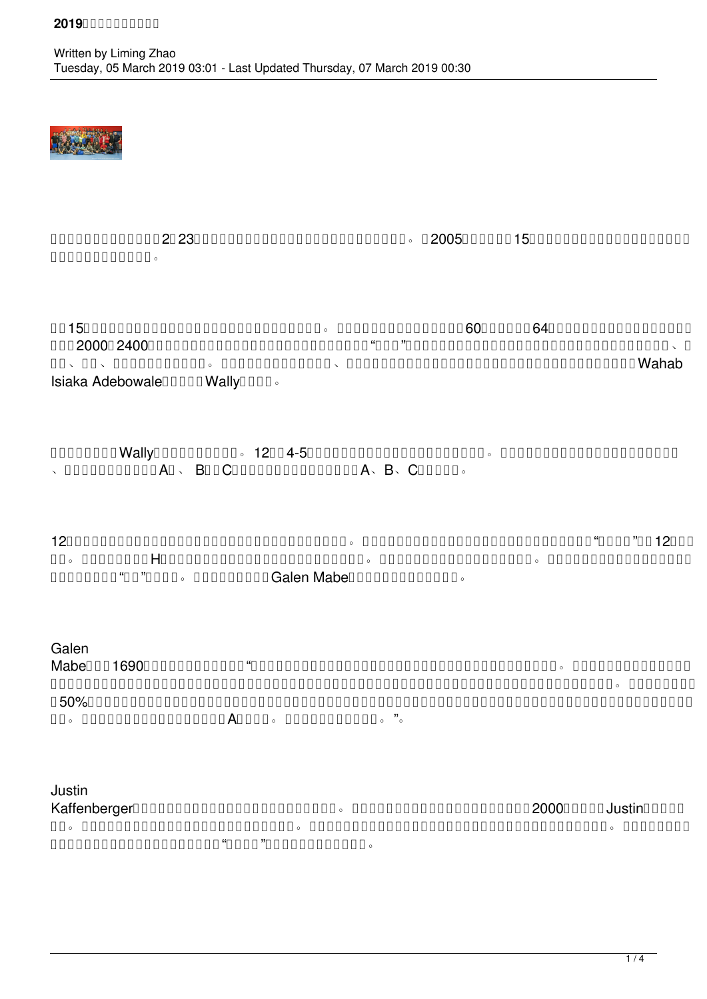

中国传统节日元宵佳节刚过,2月23日我们又迎来了乒乓球友们一年一度的迎新春乒乓友谊赛。自2005年开赛至今的15年间这个赛事从未间断过,所以说它是乒乓  $\Box$ 

在这15年间,参加比赛的球友人数逐年增加,比赛水平呈不断上升趋势。特别是最近几年,报名人数均超过60人(今年共有64人参赛);参赛选手的水平越来越高, 积分在2000到2400的高手越来越多;这个原本由本地华人组织的赛事已变得很"国际化"了,看看冠军榜就会发现:除了我们熟知的本地华人高手外,还有美国、新  $n = \pi$ , descriptional and  $\alpha$  and  $\alpha$  and  $\alpha$  and  $\alpha$  and  $\alpha$  and  $\alpha$  and  $\alpha$  and  $\alpha$  and  $\alpha$  and  $\alpha$  and  $\alpha$  and  $\alpha$  and  $\alpha$  and  $\alpha$  and  $\alpha$  and  $\alpha$  and  $\alpha$  and  $\alpha$  and  $\alpha$  and  $\alpha$  and  $\alpha$  and  $\alpha$  a Isiaka Adebowale<sup>[1111</sup>] Wally<sup>111</sup>

既然过早地提到了Wally,那就只好先说单打了。12个由4-5人组成的小组首先进行组内循环以决出组内名次。各小组的第一名进入争冠淘汰赛,小组内第二名 、第三名和第四名各自进入A组、 B组和C组的淘汰赛,直到最后决出赛会及A、B、C各组冠亚军。

12个小组里的一号种子大多顺利进入争冠淘汰赛,只有俺在组内循环输了两场。这一点儿也不意外,近年来赢球的时候越来越少,那个所谓的"官方积分"已有12年没更  $n = \frac{1}{2}$  and  $\frac{1}{2}$  and  $\frac{1}{2}$  and  $\frac{1}{2}$  and  $\frac{1}{2}$  and  $\frac{1}{2}$  and  $\frac{1}{2}$  and  $\frac{1}{2}$  and  $\frac{1}{2}$  and  $\frac{1}{2}$  and  $\frac{1}{2}$  and  $\frac{1}{2}$  and  $\frac{1}{2}$  and  $\frac{1}{2}$  and  $\frac{1}{2}$  and  $\frac{1}{2}$  $n$ nnnnnnn"nn"nnnn $\,$ , nnnnnnnn $\,$ Galen Mabennnnnnnnnnn $\,$ 

## Galen

Mabe(积分1690)告诉我们如何战胜高手:"我知道他的积分比我高很多,但我们的打法比较相似:主要靠右手弧圈和爆冲得分。我尝试了各种发球后,发现最有 效的是发强烈侧旋或侧上旋到他的反手位底线,他回过来的球给了我抢攻的机会;他发的球很转,落点变化也多,我以攻代守,只要是出台球一律进攻。虽然我的命中率只 有50%,但无疑给他制造了很大压力;我坚决不退台,这样我的进攻就更具杀伤力;当我不得已转为防守时,我会采取积极防守措施而不是被动挨打,这也为我赢得了不 少分。他真是个了不起的球手,听说后来拿了A组的冠军。说不定明年我们还会相遇。"。

# Justin

 $K$ affenberger $\square$  $\overline{m}$  and  $\overline{n}$  and  $\overline{n}$  and  $\overline{n}$  and  $\overline{n}$  and  $\overline{n}$  and  $\overline{n}$  and  $\overline{n}$  and  $\overline{n}$  and  $\overline{n}$  and  $\overline{n}$  and  $\overline{n}$  and  $\overline{n}$  and  $\overline{n}$  and  $\overline{n}$  and  $\overline{n}$  and  $\overline{n}$  and  $\overline{n}$  and  $\overline$ 盲目进攻次数,耐心与对方周旋,并瞅准机会"一拍毙命",以此连下三城晋级半决赛。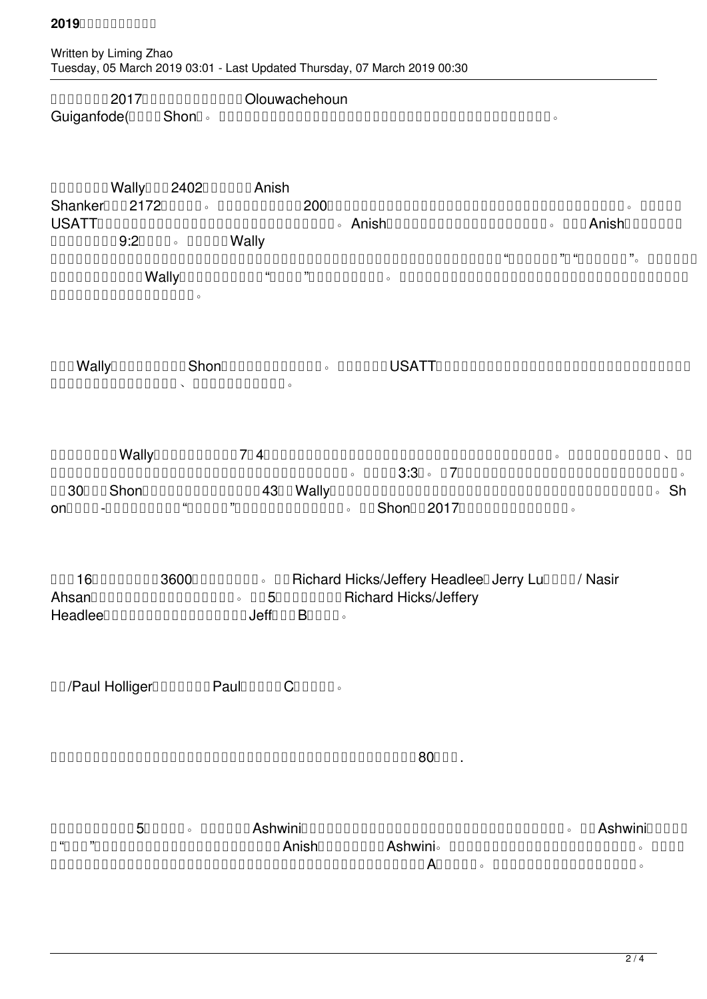$\Box$ Guiganfode(以下简称Shon)。骆在先失两局的情况下奋力搏杀扳回一局,但第四局在拿到了一个局点的情况下痛失好局。

## $000000$  Wally $0002402000000$  Anish

Shanker(积分2172)之间进行。一般情况下,积分相差200左右的球员无需较量便能得出孰胜孰负的结论,但也有出现球手球路相克的时候。两人多次在  $USATT$  $\Box$  $\begin{array}{l} \texttt{OOOOOOOOOOOOOOOOOOOOOOOOOOOOOOOOOOOOOOOOOOOOOO} \texttt{OOOOOO} \texttt{0}^\texttt{0} \texttt{0}^\texttt{0} \texttt{0}^\texttt{0} \texttt{0}^\texttt{0} \texttt{0}^\texttt{1} \texttt{0}^\texttt{1} \texttt{0}^\texttt{0} \texttt{0}^\texttt{1} \texttt{0}^\texttt{1} \texttt{0}^\texttt{1} \texttt{0}^\texttt{1} \texttt{0}^\texttt{1}^\texttt{1} \texttt{0}^\texttt{1}^\texttt{1} \texttt{0}^\texttt$ 日利亚国家队三号主力的Wally属于慢热型,这次到了"命悬一线"的时候才找到了感觉。他此时击球质量有所提高,注重回球的落点,同时在发球与接发球轮均赚得先  $\Box$ 

决赛在Wally(赛会一号种子)与Shon(赛会二号种子)之间进行。两人曾多次在USATT的赛事中遭遇,双方各有胜负,就看谁的竞技状态更好一些,当然还  $n$ nnnnnnnnnnnnnnnnnnnnnnnnnnnn $\sim$ nnnnnnnn $\sim$ 

一如既往,慢热的Wally在先失三局(决赛采用7局4胜制)后找到了感觉,采用全台正手(他左手持拍)战术向对方发起猛烈攻击。场上时常出现多回合对拉、对冲 等令人眼花缭乱的精彩场面,观众席上热烈的掌声及喝彩声此起彼伏,不绝于耳。大局比分3:3平。第7局,也是最后一局,不仅是双方实力的碰撞也是体力的较量。 年龄30上下的Shon此时场上表现依然生龙活虎,而43岁的Wally虽然斗志不减,但回球的力度和速度已有所减弱,在激烈对抗相持中开始显现些许劣势。Sh on的杀手锏-相持中既酣畅淋漓又"血腥味十足"的反手绝地爆冲技术屡屡得手。最终Shon在继2017年之后再次夺得本赛事的冠军。

**DOD16DODDDDD3600DDDDDDD**。DDRichard Hicks/Jeffery HeadleeDJerry LuDDDD/ Nasir AhsanDooDooDooDoODooDooDooDoODoODoDaTichard Hicks/Jeffery  $Headlee$ 

陈尧/Paul Holliger组合获得第三(Paul另外也获得C组第三名)。

 $\Box$ 

 $\Box$  $n$ "תחת "מתחתחתחתחתחתחתחתחתחתחת $\overline{A}$ nish $n$ תחתחת $\overline{A}$ shwini $\overline{a}$ , מתחתחתחתחתחתחתחתחת  $a$ 军纪录保持者,前耶鲁大学女子单打冠军吕鸿雁女士这次只能屈居亚军(除了女子亚军,她还获得了A组的第三名。),女子单项的季军由张跃玲女士获得。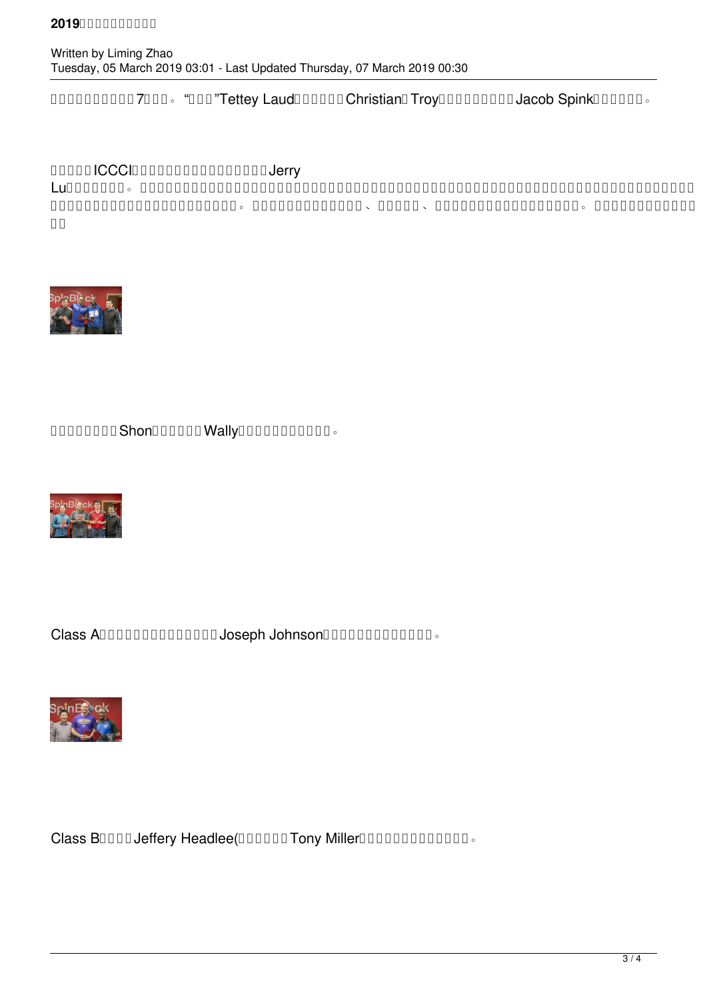#### $201900000000$

参加少年组比赛的共有7名同学。"大力神"Tettey Laud乒乓家族成员Christian和Troy分获第一和第三名;Jacob Spink获得了第二名。

# andon ICCCIONONO DO DO DO Jerry

Lu)先生共同赞助。在此请允许我代表组委会成员和广大球友向他们表示感谢;同时也允许我代表球友们向多年成功举办该赛会的组委会各个成员表示敬意和感谢!感谢 张躍玲女士多次为我们收集并提供文章的原始资料。感谢广大球友(包括路易维尔、新奥尔巴尼、韦恩堡等地的球友)的强力支持和参与。祝迎新春乒乓友谊赛越办越 **ПП** 



单打争冠组:冠军Shon(中),亚军Wally(右)和季军骆骅(左)。



Class ADDDDDDDDDDDD Joseph Johnson DDDDDDDDDD .



Class BOOOD Jeffery Headlee(000000 Tony Miller0000000000000 .